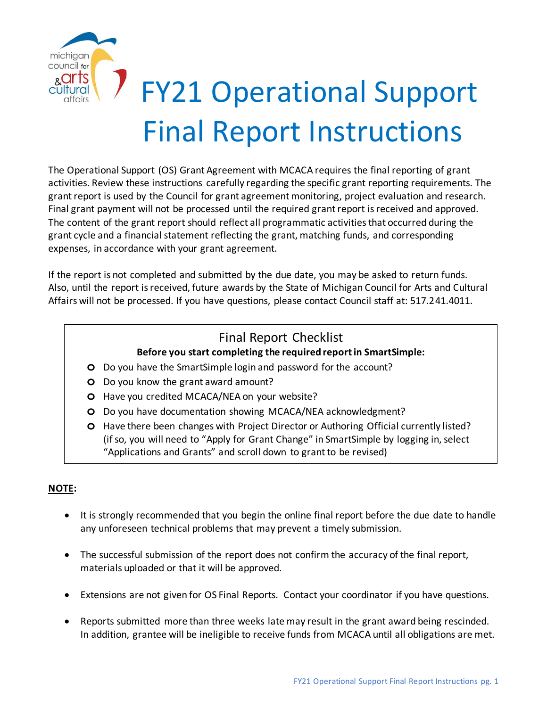

# FY21 Operational Support Final Report Instructions

The Operational Support (OS) Grant Agreement with MCACA requires the final reporting of grant activities. Review these instructions carefully regarding the specific grant reporting requirements. The grant report is used by the Council for grant agreement monitoring, project evaluation and research. Final grant payment will not be processed until the required grant report is received and approved. The content of the grant report should reflect all programmatic activities that occurred during the grant cycle and a financial statement reflecting the grant, matching funds, and corresponding expenses, in accordance with your grant agreement.

If the report is not completed and submitted by the due date, you may be asked to return funds. Also, until the report is received, future awards by the State of Michigan Council for Arts and Cultural Affairs will not be processed. If you have questions, please contact Council staff at: 517.241.4011.

### Final Report Checklist

#### **Before you start completing the required report in SmartSimple:**

- **o** Do you have the SmartSimple login and password for the account?
- **o** Do you know the grant award amount?
- **o** Have you credited MCACA/NEA on your website?
- **o** Do you have documentation showing MCACA/NEA acknowledgment?
- **o** Have there been changes with Project Director or Authoring Official currently listed? (if so, you will need to "Apply for Grant Change" in SmartSimple by logging in, select "Applications and Grants" and scroll down to grant to be revised)

#### **NOTE:**

- It is strongly recommended that you begin the online final report before the due date to handle any unforeseen technical problems that may prevent a timely submission.
- The successful submission of the report does not confirm the accuracy of the final report, materials uploaded or that it will be approved.
- Extensions are not given for OS Final Reports. Contact your coordinator if you have questions.
- Reports submitted more than three weeks late may result in the grant award being rescinded. In addition, grantee will be ineligible to receive funds from MCACA until all obligations are met.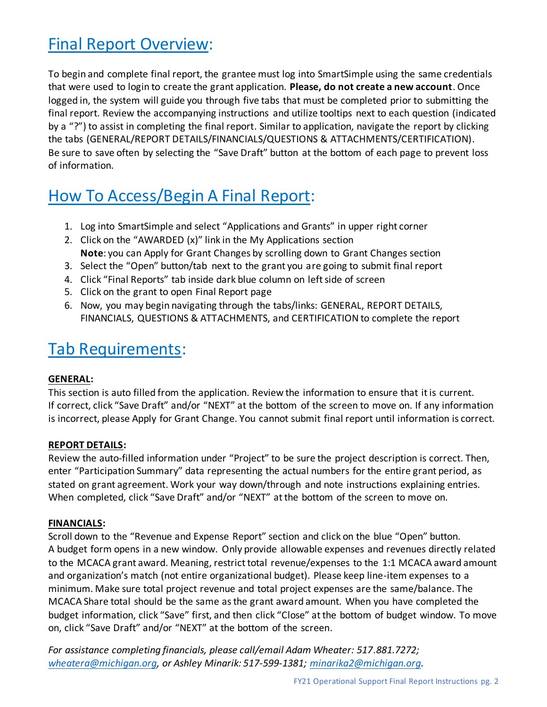# Final Report Overview:

To begin and complete final report, the grantee must log into SmartSimple using the same credentials that were used to login to create the grant application. **Please, do not create a new account**. Once logged in, the system will guide you through five tabs that must be completed prior to submitting the final report. Review the accompanying instructions and utilize tooltips next to each question (indicated by a "?") to assist in completing the final report. Similar to application, navigate the report by clicking the tabs (GENERAL/REPORT DETAILS/FINANCIALS/QUESTIONS & ATTACHMENTS/CERTIFICATION). Be sure to save often by selecting the "Save Draft" button at the bottom of each page to prevent loss of information.

# How To Access/Begin A Final Report:

- 1. Log into SmartSimple and select "Applications and Grants" in upper right corner
- 2. Click on the "AWARDED (x)" link in the My Applications section **Note**: you can Apply for Grant Changes by scrolling down to Grant Changes section
- 3. Select the "Open" button/tab next to the grant you are going to submit final report
- 4. Click "Final Reports" tab inside dark blue column on left side of screen
- 5. Click on the grant to open Final Report page
- 6. Now, you may begin navigating through the tabs/links: GENERAL, REPORT DETAILS, FINANCIALS, QUESTIONS & ATTACHMENTS, and CERTIFICATION to complete the report

## Tab Requirements:

#### **GENERAL:**

This section is auto filled from the application. Review the information to ensure that it is current. If correct, click "Save Draft" and/or "NEXT" at the bottom of the screen to move on. If any information is incorrect, please Apply for Grant Change. You cannot submit final report until information is correct.

#### **REPORT DETAILS:**

Review the auto-filled information under "Project" to be sure the project description is correct. Then, enter "Participation Summary" data representing the actual numbers for the entire grant period, as stated on grant agreement. Work your way down/through and note instructions explaining entries. When completed, click "Save Draft" and/or "NEXT" at the bottom of the screen to move on.

#### **FINANCIALS:**

Scroll down to the "Revenue and Expense Report" section and click on the blue "Open" button. A budget form opens in a new window. Only provide allowable expenses and revenues directly related to the MCACA grant award. Meaning, restrict total revenue/expenses to the 1:1 MCACA award amount and organization's match (not entire organizational budget). Please keep line-item expenses to a minimum. Make sure total project revenue and total project expenses are the same/balance. The MCACA Share total should be the same as the grant award amount. When you have completed the budget information, click "Save" first, and then click "Close" at the bottom of budget window. To move on, click "Save Draft" and/or "NEXT" at the bottom of the screen.

*For assistance completing financials, please call/email Adam Wheater: 517.881.7272; [wheatera@michigan.org,](mailto:wheatera@michigan.org) or Ashley Minarik: 517-599-1381; [minarika2@michigan.org.](mailto:minarika2@michigan.org)*